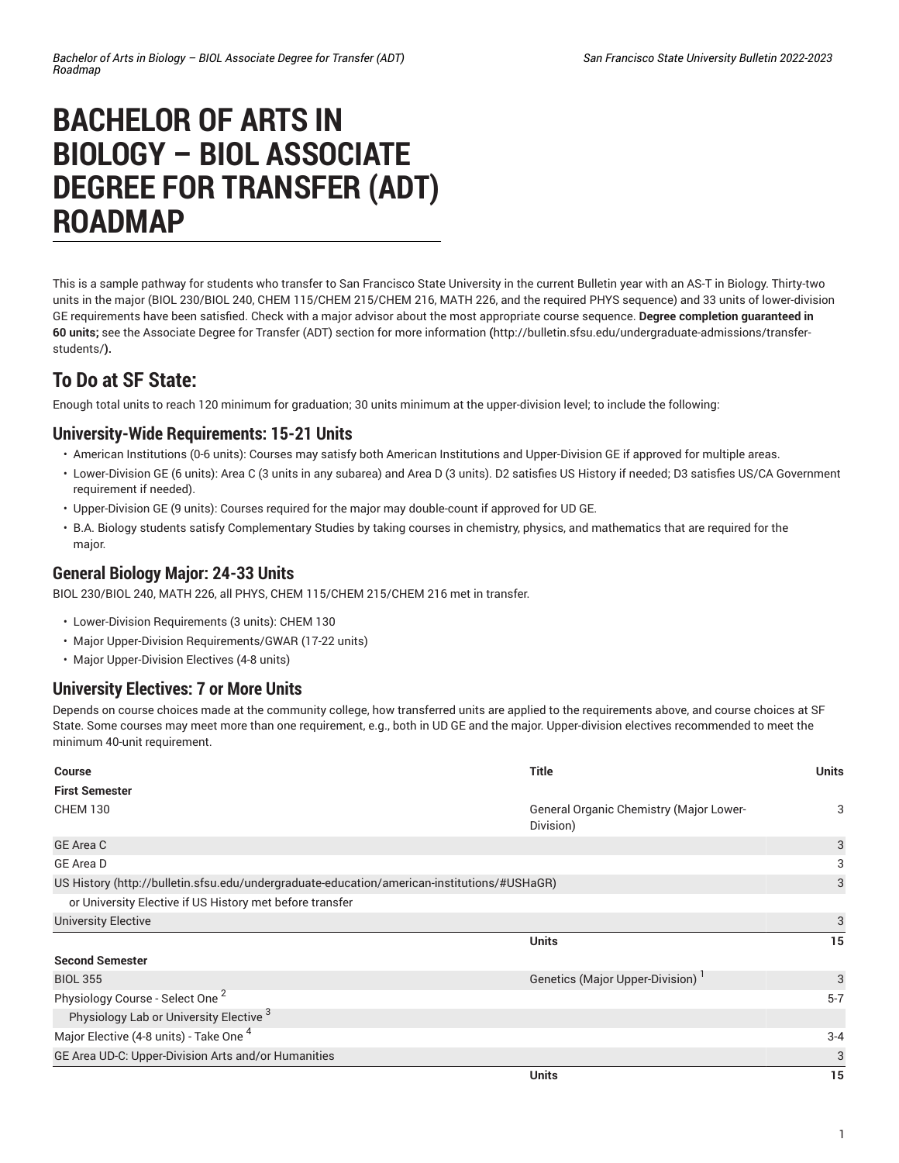# **BACHELOR OF ARTS IN BIOLOGY – BIOL ASSOCIATE DEGREE FOR TRANSFER (ADT) ROADMAP**

This is a sample pathway for students who transfer to San Francisco State University in the current Bulletin year with an AS-T in Biology. Thirty-two units in the major (BIOL 230/BIOL 240, CHEM 115/CHEM 215/CHEM 216, MATH 226, and the required PHYS sequence) and 33 units of lower-division GE requirements have been satisfied. Check with a major advisor about the most appropriate course sequence. **Degree completion guaranteed in 60 units;** see the Associate Degree for Transfer (ADT) section for more [information](http://bulletin.sfsu.edu/undergraduate-admissions/transfer-students/) **(**[http://bulletin.sfsu.edu/undergraduate-admissions/transfer](http://bulletin.sfsu.edu/undergraduate-admissions/transfer-students/)[students/](http://bulletin.sfsu.edu/undergraduate-admissions/transfer-students/)**).**

# **To Do at SF State:**

Enough total units to reach 120 minimum for graduation; 30 units minimum at the upper-division level; to include the following:

#### **University-Wide Requirements: 15-21 Units**

- American Institutions (0-6 units): Courses may satisfy both American Institutions and Upper-Division GE if approved for multiple areas.
- Lower-Division GE (6 units): Area C (3 units in any subarea) and Area D (3 units). D2 satisfies US History if needed; D3 satisfies US/CA Government requirement if needed).
- Upper-Division GE (9 units): Courses required for the major may double-count if approved for UD GE.
- B.A. Biology students satisfy Complementary Studies by taking courses in chemistry, physics, and mathematics that are required for the major.

### **General Biology Major: 24-33 Units**

BIOL 230/BIOL 240, MATH 226, all PHYS, CHEM 115/CHEM 215/CHEM 216 met in transfer.

- Lower-Division Requirements (3 units): CHEM 130
- Major Upper-Division Requirements/GWAR (17-22 units)
- Major Upper-Division Electives (4-8 units)

## **University Electives: 7 or More Units**

Depends on course choices made at the community college, how transferred units are applied to the requirements above, and course choices at SF State. Some courses may meet more than one requirement, e.g., both in UD GE and the major. Upper-division electives recommended to meet the minimum 40-unit requirement.

| <b>Course</b>                                                                               | <b>Title</b>                                         | <b>Units</b> |
|---------------------------------------------------------------------------------------------|------------------------------------------------------|--------------|
| <b>First Semester</b>                                                                       |                                                      |              |
| <b>CHEM 130</b>                                                                             | General Organic Chemistry (Major Lower-<br>Division) | 3            |
| <b>GE Area C</b>                                                                            |                                                      | 3            |
| GE Area D                                                                                   |                                                      | 3            |
| US History (http://bulletin.sfsu.edu/undergraduate-education/american-institutions/#USHaGR) |                                                      | 3            |
| or University Elective if US History met before transfer                                    |                                                      |              |
| <b>University Elective</b>                                                                  |                                                      |              |
|                                                                                             | <b>Units</b>                                         | 15           |
| <b>Second Semester</b>                                                                      |                                                      |              |
| <b>BIOL 355</b>                                                                             | Genetics (Major Upper-Division)                      | 3            |
| Physiology Course - Select One <sup>2</sup>                                                 |                                                      | $5 - 7$      |
| Physiology Lab or University Elective <sup>3</sup>                                          |                                                      |              |
| Major Elective (4-8 units) - Take One <sup>4</sup>                                          |                                                      | $3 - 4$      |
| GE Area UD-C: Upper-Division Arts and/or Humanities                                         |                                                      | 3            |
|                                                                                             | Units                                                | 15           |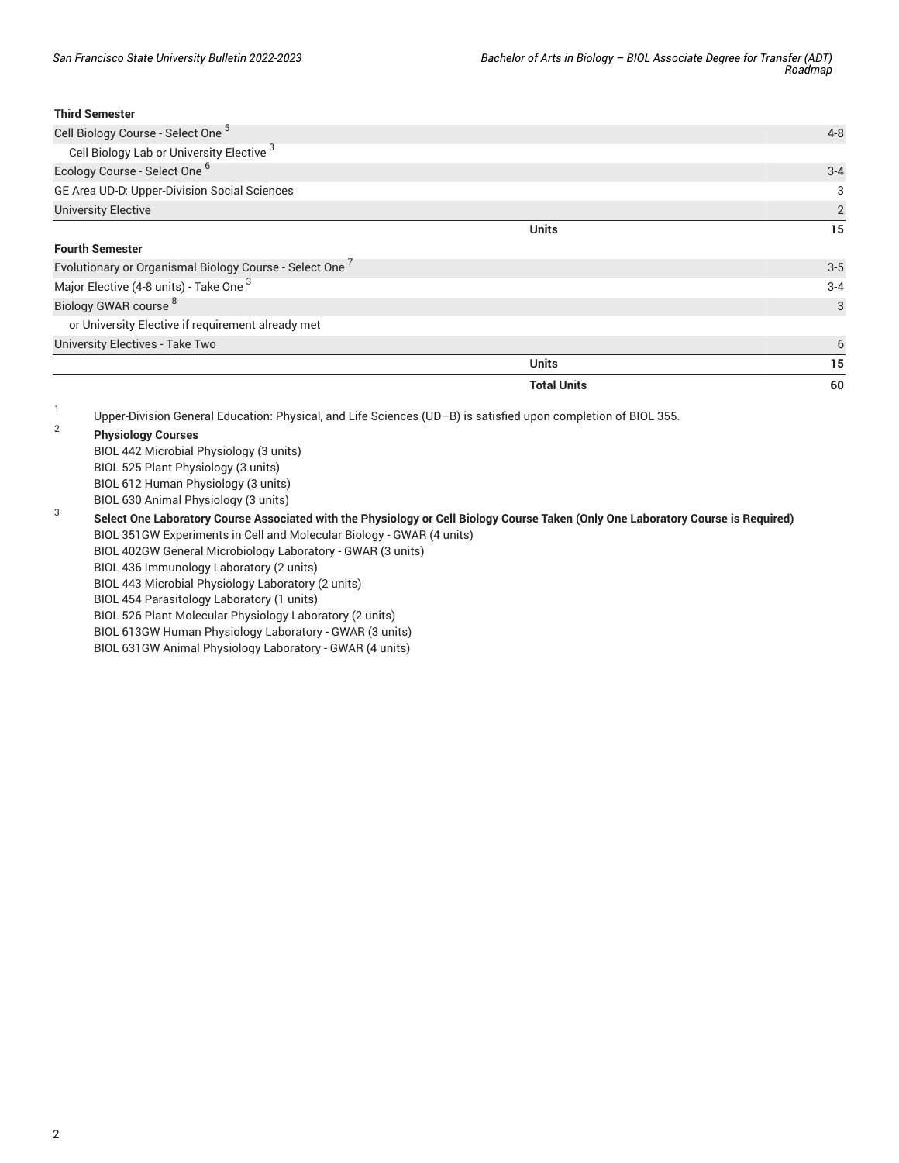#### **Third Semester**

| Upper-Division General Education: Physical, and Life Sciences (UD-B) is satisfied upon completion of BIOL 355. |                    |                |
|----------------------------------------------------------------------------------------------------------------|--------------------|----------------|
|                                                                                                                | <b>Total Units</b> | 60             |
|                                                                                                                | <b>Units</b>       | 15             |
| University Electives - Take Two                                                                                |                    | 6              |
| or University Elective if requirement already met                                                              |                    |                |
| Biology GWAR course 8                                                                                          |                    | 3              |
| Major Elective (4-8 units) - Take One <sup>3</sup>                                                             |                    | $3 - 4$        |
| Evolutionary or Organismal Biology Course - Select One                                                         |                    | $3-5$          |
| <b>Fourth Semester</b>                                                                                         |                    |                |
|                                                                                                                | <b>Units</b>       | 15             |
| <b>University Elective</b>                                                                                     |                    | $\overline{2}$ |
| GE Area UD-D: Upper-Division Social Sciences                                                                   |                    | 3              |
| Ecology Course - Select One <sup>6</sup>                                                                       |                    | $3 - 4$        |
| Cell Biology Lab or University Elective <sup>3</sup>                                                           |                    |                |
| Cell Biology Course - Select One <sup>5</sup>                                                                  |                    | $4 - 8$        |

- **Physiology Courses** BIOL 442 Microbial Physiology (3 units) BIOL 525 Plant Physiology (3 units) BIOL 612 Human Physiology (3 units) BIOL 630 Animal Physiology (3 units)
- 3 Select One Laboratory Course Associated with the Physiology or Cell Biology Course Taken (Only One Laboratory Course is Required) BIOL 351GW Experiments in Cell and Molecular Biology - GWAR (4 units)
	- BIOL 402GW General Microbiology Laboratory GWAR (3 units)
	- BIOL 436 Immunology Laboratory (2 units)
	- BIOL 443 Microbial Physiology Laboratory (2 units)
	- BIOL 454 Parasitology Laboratory (1 units)
	- BIOL 526 Plant Molecular Physiology Laboratory (2 units)
	- BIOL 613GW Human Physiology Laboratory GWAR (3 units)
	- BIOL 631GW Animal Physiology Laboratory GWAR (4 units)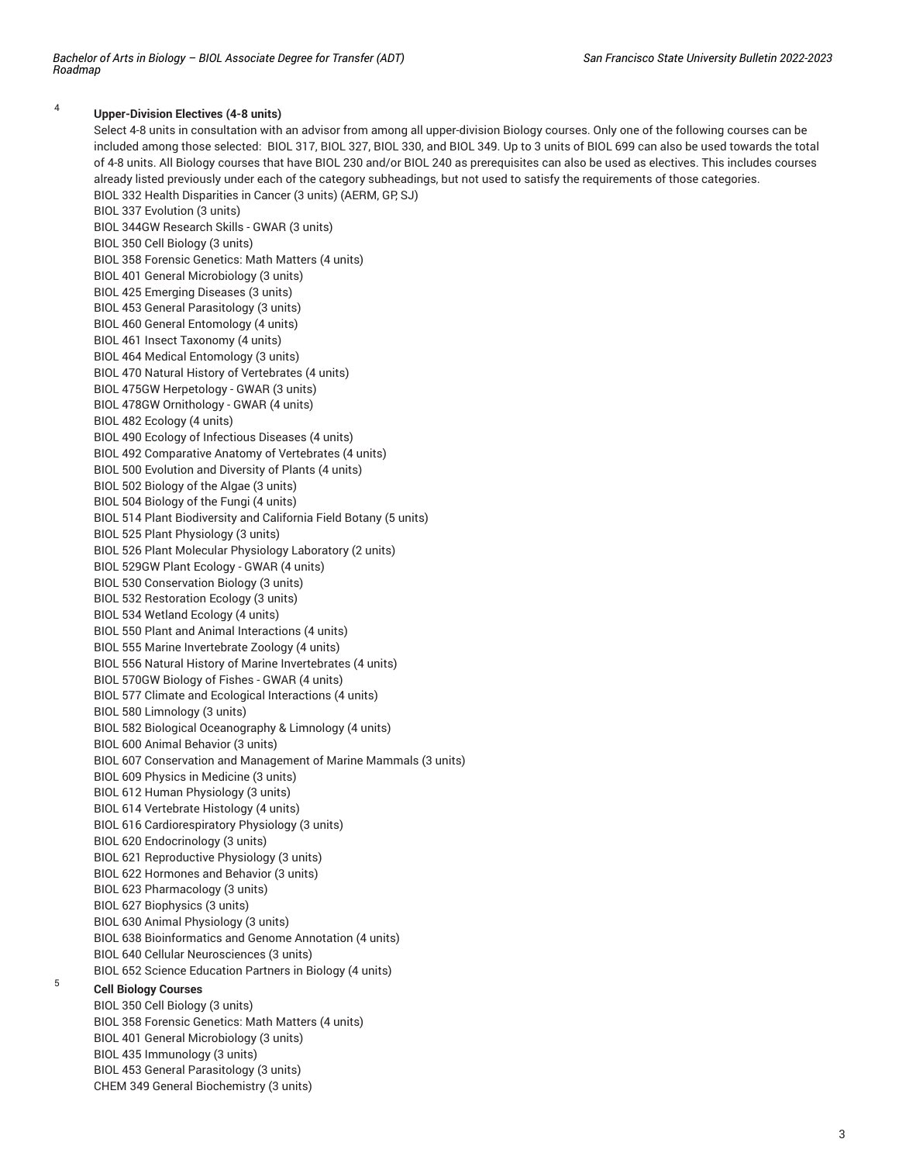#### 4 **Upper-Division Electives (4-8 units)**

Select 4-8 units in consultation with an advisor from among all upper-division Biology courses. Only one of the following courses can be included among those selected: BIOL 317, BIOL 327, BIOL 330, and BIOL 349. Up to 3 units of BIOL 699 can also be used towards the total of 4-8 units. All Biology courses that have BIOL 230 and/or BIOL 240 as prerequisites can also be used as electives. This includes courses already listed previously under each of the category subheadings, but not used to satisfy the requirements of those categories. BIOL 332 Health Disparities in Cancer (3 units) (AERM, GP, SJ)

BIOL 337 Evolution (3 units) BIOL 344GW Research Skills - GWAR (3 units) BIOL 350 Cell Biology (3 units) BIOL 358 Forensic Genetics: Math Matters (4 units) BIOL 401 General Microbiology (3 units) BIOL 425 Emerging Diseases (3 units) BIOL 453 General Parasitology (3 units) BIOL 460 General Entomology (4 units) BIOL 461 Insect Taxonomy (4 units) BIOL 464 Medical Entomology (3 units) BIOL 470 Natural History of Vertebrates (4 units) BIOL 475GW Herpetology - GWAR (3 units) BIOL 478GW Ornithology - GWAR (4 units) BIOL 482 Ecology (4 units) BIOL 490 Ecology of Infectious Diseases (4 units) BIOL 492 Comparative Anatomy of Vertebrates (4 units) BIOL 500 Evolution and Diversity of Plants (4 units) BIOL 502 Biology of the Algae (3 units)

BIOL 504 Biology of the Fungi (4 units)

BIOL 514 Plant Biodiversity and California Field Botany (5 units)

BIOL 525 Plant Physiology (3 units)

BIOL 526 Plant Molecular Physiology Laboratory (2 units)

BIOL 529GW Plant Ecology - GWAR (4 units)

BIOL 530 Conservation Biology (3 units)

BIOL 532 Restoration Ecology (3 units)

BIOL 534 Wetland Ecology (4 units)

BIOL 550 Plant and Animal Interactions (4 units)

BIOL 555 Marine Invertebrate Zoology (4 units)

BIOL 556 Natural History of Marine Invertebrates (4 units)

BIOL 570GW Biology of Fishes - GWAR (4 units)

BIOL 577 Climate and Ecological Interactions (4 units)

BIOL 580 Limnology (3 units)

BIOL 582 Biological Oceanography & Limnology (4 units)

BIOL 600 Animal Behavior (3 units)

BIOL 607 Conservation and Management of Marine Mammals (3 units)

BIOL 609 Physics in Medicine (3 units)

BIOL 612 Human Physiology (3 units)

BIOL 614 Vertebrate Histology (4 units)

BIOL 616 Cardiorespiratory Physiology (3 units)

BIOL 620 Endocrinology (3 units)

BIOL 621 Reproductive Physiology (3 units)

BIOL 622 Hormones and Behavior (3 units)

BIOL 623 Pharmacology (3 units)

BIOL 627 Biophysics (3 units)

BIOL 630 Animal Physiology (3 units)

BIOL 638 Bioinformatics and Genome Annotation (4 units)

BIOL 640 Cellular Neurosciences (3 units)

BIOL 652 Science Education Partners in Biology (4 units)

#### **Cell Biology Courses**

5

BIOL 350 Cell Biology (3 units) BIOL 358 Forensic Genetics: Math Matters (4 units) BIOL 401 General Microbiology (3 units) BIOL 435 Immunology (3 units) BIOL 453 General Parasitology (3 units) CHEM 349 General Biochemistry (3 units)